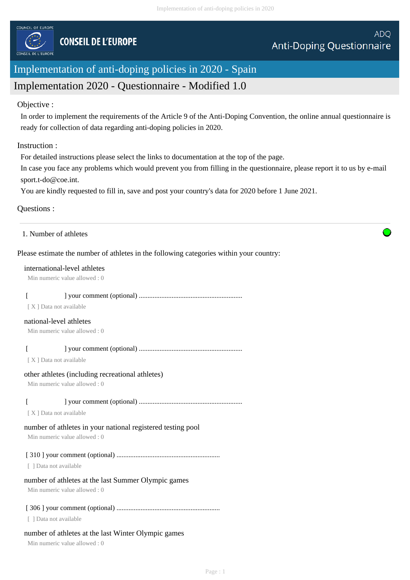

# Implementation of anti-doping policies in 2020 - Spain

## Implementation 2020 - Questionnaire - Modified 1.0

#### Objective :

In order to implement the requirements of the Article 9 of the Anti-Doping Convention, the online annual questionnaire is ready for collection of data regarding anti-doping policies in 2020.

#### Instruction :

For detailed instructions please select the links to documentation at the top of the page.

In case you face any problems which would prevent you from filling in the questionnaire, please report it to us by e-mail sport.t-do@coe.int.

You are kindly requested to fill in, save and post your country's data for 2020 before 1 June 2021.

#### Questions :

#### Please estimate the number of athletes in the following categories within your country:

#### international-level athletes

Min numeric value allowed : 0

## [ ] your comment (optional) ............................................................

[ X ] Data not available

#### national-level athletes

Min numeric value allowed : 0

#### [ ] your comment (optional) ............................................................

[ X ] Data not available

#### other athletes (including recreational athletes)

Min numeric value allowed : 0

#### [ ] your comment (optional) ............................................................

[X] Data not available

## number of athletes in your national registered testing pool

Min numeric value allowed : 0

## [ 310 ] your comment (optional) ............................................................

[ ] Data not available

## number of athletes at the last Summer Olympic games

Min numeric value allowed : 0

## [ 306 ] your comment (optional) ............................................................

[ ] Data not available

## number of athletes at the last Winter Olympic games

Min numeric value allowed : 0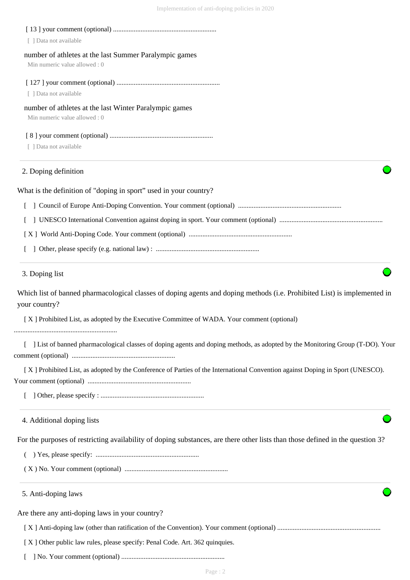| [ ] Data not available                                                                                                                     |
|--------------------------------------------------------------------------------------------------------------------------------------------|
| number of athletes at the last Summer Paralympic games                                                                                     |
| Min numeric value allowed: 0                                                                                                               |
|                                                                                                                                            |
| [ ] Data not available                                                                                                                     |
| number of athletes at the last Winter Paralympic games<br>Min numeric value allowed: 0                                                     |
|                                                                                                                                            |
| [ ] Data not available                                                                                                                     |
| 2. Doping definition                                                                                                                       |
| What is the definition of "doping in sport" used in your country?                                                                          |
|                                                                                                                                            |
|                                                                                                                                            |
|                                                                                                                                            |
|                                                                                                                                            |
| 3. Doping list                                                                                                                             |
| Which list of banned pharmacological classes of doping agents and doping methods (i.e. Prohibited List) is implemented in<br>your country? |
| [X] Prohibited List, as adopted by the Executive Committee of WADA. Your comment (optional)                                                |
| [ ] List of banned pharmacological classes of doping agents and doping methods, as adopted by the Monitoring Group (T-DO). Your            |
|                                                                                                                                            |
| [X] Prohibited List, as adopted by the Conference of Parties of the International Convention against Doping in Sport (UNESCO).             |
|                                                                                                                                            |
| 4. Additional doping lists                                                                                                                 |
| For the purposes of restricting availability of doping substances, are there other lists than those defined in the question 3?             |
|                                                                                                                                            |
|                                                                                                                                            |
| 5. Anti-doping laws                                                                                                                        |
| Are there any anti-doping laws in your country?                                                                                            |
|                                                                                                                                            |
| [X] Other public law rules, please specify: Penal Code. Art. 362 quinquies.                                                                |
|                                                                                                                                            |

[ ] No. Your comment (optional) ............................................................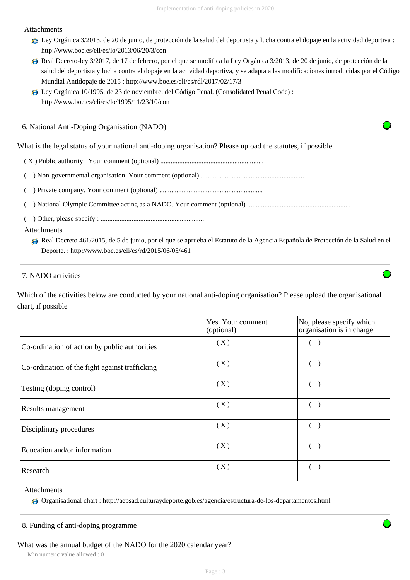#### Attachments

- Ley Orgánica 3/2013, de 20 de junio, de protección de la salud del deportista y lucha contra el dopaje en la actividad deportiva : http://www.boe.es/eli/es/lo/2013/06/20/3/con
- Real Decreto-ley 3/2017, de 17 de febrero, por el que se modifica la Ley Orgánica 3/2013, de 20 de junio, de protección de la salud del deportista y lucha contra el dopaje en la actividad deportiva, y se adapta a las modificaciones introducidas por el Código Mundial Antidopaje de 2015 : http://www.boe.es/eli/es/rdl/2017/02/17/3
- Ley Orgánica 10/1995, de 23 de noviembre, del Código Penal. (Consolidated Penal Code) : http://www.boe.es/eli/es/lo/1995/11/23/10/con

6. National Anti-Doping Organisation (NADO)

What is the legal status of your national anti-doping organisation? Please upload the statutes, if possible

- ( X ) Public authority. Your comment (optional) ............................................................
- ( ) Non-governmental organisation. Your comment (optional) ............................................................
- ( ) Private company. Your comment (optional) ............................................................
- ( ) National Olympic Committee acting as a NADO. Your comment (optional) ............................................................
- ( ) Other, please specify : ............................................................

#### Attachments

Real Decreto 461/2015, de 5 de junio, por el que se aprueba el Estatuto de la Agencia Española de Protección de la Salud en el Deporte. : http://www.boe.es/eli/es/rd/2015/06/05/461

## 7. NADO activities

Which of the activities below are conducted by your national anti-doping organisation? Please upload the organisational chart, if possible

|                                                | Yes. Your comment<br>(optional) | No, please specify which<br>organisation is in charge |  |  |
|------------------------------------------------|---------------------------------|-------------------------------------------------------|--|--|
| Co-ordination of action by public authorities  | (X)                             |                                                       |  |  |
| Co-ordination of the fight against trafficking | (X)                             |                                                       |  |  |
| Testing (doping control)                       | (X)                             |                                                       |  |  |
| Results management                             | (X)                             |                                                       |  |  |
| Disciplinary procedures                        | (X)                             |                                                       |  |  |
| Education and/or information                   | (X)                             |                                                       |  |  |
| Research                                       | (X)                             |                                                       |  |  |

Attachments

Organisational chart : http://aepsad.culturaydeporte.gob.es/agencia/estructura-de-los-departamentos.html

#### 8. Funding of anti-doping programme

What was the annual budget of the NADO for the 2020 calendar year?

Min numeric value allowed : 0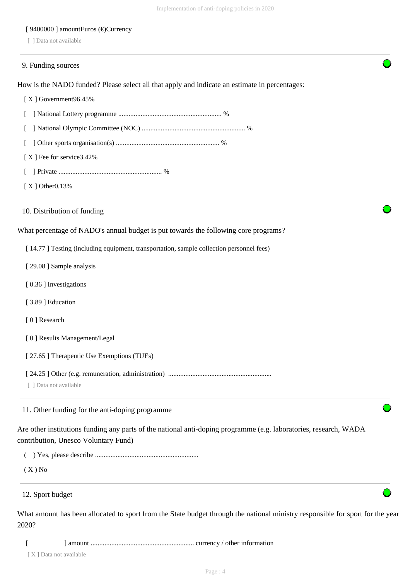## [ 9400000 ] amountEuros (€)Currency

[ ] Data not available

| 9. Funding sources                                                                                                                                        |
|-----------------------------------------------------------------------------------------------------------------------------------------------------------|
| How is the NADO funded? Please select all that apply and indicate an estimate in percentages:                                                             |
| [X] Government96.45%                                                                                                                                      |
| L                                                                                                                                                         |
|                                                                                                                                                           |
|                                                                                                                                                           |
| [X] Fee for service 3.42%                                                                                                                                 |
|                                                                                                                                                           |
| $[X]$ Other 0.13%                                                                                                                                         |
| 10. Distribution of funding                                                                                                                               |
| What percentage of NADO's annual budget is put towards the following core programs?                                                                       |
| [14.77] Testing (including equipment, transportation, sample collection personnel fees)                                                                   |
| [29.08] Sample analysis                                                                                                                                   |
| [0.36] Investigations                                                                                                                                     |
| [3.89] Education                                                                                                                                          |
| [0] Research                                                                                                                                              |
| [0] Results Management/Legal                                                                                                                              |
| [27.65] Therapeutic Use Exemptions (TUEs)                                                                                                                 |
| [ ] Data not available                                                                                                                                    |
| 11. Other funding for the anti-doping programme                                                                                                           |
| Are other institutions funding any parts of the national anti-doping programme (e.g. laboratories, research, WADA<br>contribution, Unesco Voluntary Fund) |
|                                                                                                                                                           |
| $(X)$ No                                                                                                                                                  |
| 12. Sport budget                                                                                                                                          |
| What amount has been allocated to sport from the State budget through the national ministry responsible for sport for the year<br>2020?                   |

[ ] amount ............................................................ currency / other information

[ X ] Data not available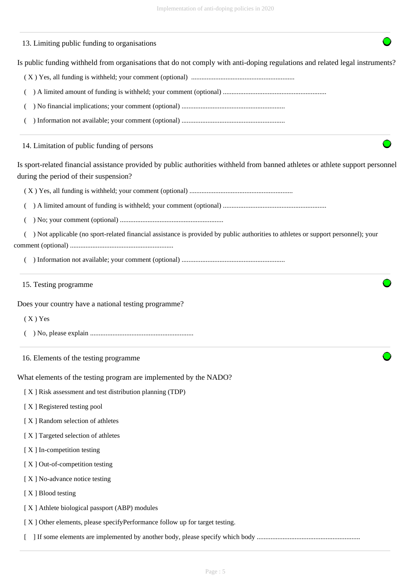# Is public funding withheld from organisations that do not comply with anti-doping regulations and related legal instruments? ( X ) Yes, all funding is withheld; your comment (optional) ............................................................ ( ) A limited amount of funding is withheld; your comment (optional) ............................................................ ( ) No financial implications; your comment (optional) ............................................................ ( ) Information not available; your comment (optional) ............................................................ Is sport-related financial assistance provided by public authorities withheld from banned athletes or athlete support personnel during the period of their suspension? ( X ) Yes, all funding is withheld; your comment (optional) ............................................................ ( ) A limited amount of funding is withheld; your comment (optional) ............................................................ ( ) No; your comment (optional) ............................................................ ( ) Not applicable (no sport-related financial assistance is provided by public authorities to athletes or support personnel); your comment (optional) ............................................................ ( ) Information not available; your comment (optional) ............................................................ Does your country have a national testing programme?  $(X)$  Yes ( ) No, please explain ............................................................ What elements of the testing program are implemented by the NADO? [ X ] Risk assessment and test distribution planning (TDP) [ X ] Registered testing pool [ X ] Random selection of athletes [ X ] Targeted selection of athletes [ X ] In-competition testing [X] Out-of-competition testing [X ] No-advance notice testing [X ] Blood testing [ X ] Athlete biological passport (ABP) modules [ X ] Other elements, please specifyPerformance follow up for target testing. [ ] If some elements are implemented by another body, please specify which body ............................................................ 13. Limiting public funding to organisations 14. Limitation of public funding of persons 15. Testing programme 16. Elements of the testing programme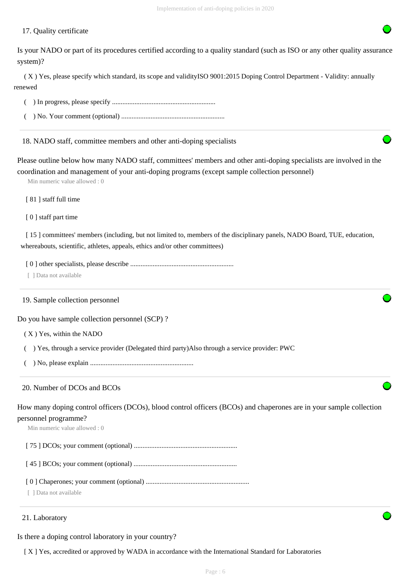#### 17. Quality certificate

Is your NADO or part of its procedures certified according to a quality standard (such as ISO or any other quality assurance system)?

 ( X ) Yes, please specify which standard, its scope and validityISO 9001:2015 Doping Control Department - Validity: annually renewed

( ) In progress, please specify ............................................................

( ) No. Your comment (optional) ............................................................

18. NADO staff, committee members and other anti-doping specialists

Please outline below how many NADO staff, committees' members and other anti-doping specialists are involved in the coordination and management of your anti-doping programs (except sample collection personnel)

Min numeric value allowed : 0

[81] staff full time

[ 0 ] staff part time

[ 15 ] committees' members (including, but not limited to, members of the disciplinary panels, NADO Board, TUE, education, whereabouts, scientific, athletes, appeals, ethics and/or other committees)

[ 0 ] other specialists, please describe ............................................................

[ 1 Data not available

#### 19. Sample collection personnel

Do you have sample collection personnel (SCP) ?

( X ) Yes, within the NADO

( ) Yes, through a service provider (Delegated third party)Also through a service provider: PWC

( ) No, please explain ............................................................

#### 20. Number of DCOs and BCOs

How many doping control officers (DCOs), blood control officers (BCOs) and chaperones are in your sample collection personnel programme?

Min numeric value allowed : 0

[ 75 ] DCOs; your comment (optional) ............................................................

[ 45 ] BCOs; your comment (optional) ............................................................

[ 0 ] Chaperones; your comment (optional) ............................................................

[ ] Data not available

#### 21. Laboratory

Is there a doping control laboratory in your country?

[ X ] Yes, accredited or approved by WADA in accordance with the International Standard for Laboratories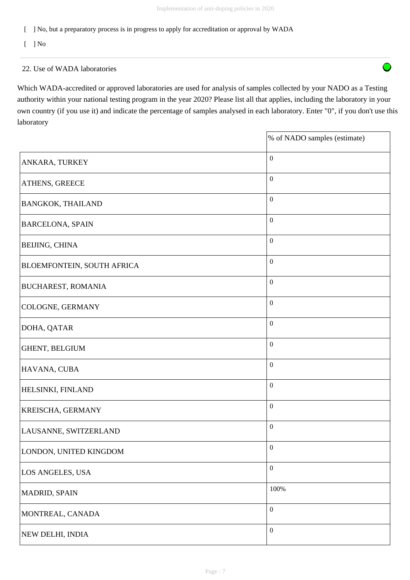$\bigcap$ 

[ ] No, but a preparatory process is in progress to apply for accreditation or approval by WADA

 $\lceil$   $\rceil$  No

#### 22. Use of WADA laboratories

Which WADA-accredited or approved laboratories are used for analysis of samples collected by your NADO as a Testing authority within your national testing program in the year 2020? Please list all that applies, including the laboratory in your own country (if you use it) and indicate the percentage of samples analysed in each laboratory. Enter "0", if you don't use this laboratory

|                                   | % of NADO samples (estimate) |
|-----------------------------------|------------------------------|
| ANKARA, TURKEY                    | $\boldsymbol{0}$             |
| <b>ATHENS, GREECE</b>             | $\boldsymbol{0}$             |
| <b>BANGKOK, THAILAND</b>          | $\boldsymbol{0}$             |
| <b>BARCELONA, SPAIN</b>           | $\boldsymbol{0}$             |
| <b>BEIJING, CHINA</b>             | $\boldsymbol{0}$             |
| <b>BLOEMFONTEIN, SOUTH AFRICA</b> | $\boldsymbol{0}$             |
| <b>BUCHAREST, ROMANIA</b>         | $\boldsymbol{0}$             |
| COLOGNE, GERMANY                  | $\boldsymbol{0}$             |
| DOHA, QATAR                       | $\boldsymbol{0}$             |
| GHENT, BELGIUM                    | $\boldsymbol{0}$             |
| HAVANA, CUBA                      | $\boldsymbol{0}$             |
| <b>HELSINKI, FINLAND</b>          | $\boldsymbol{0}$             |
| <b>KREISCHA, GERMANY</b>          | $\boldsymbol{0}$             |
| LAUSANNE, SWITZERLAND             | $\boldsymbol{0}$             |
| LONDON, UNITED KINGDOM            | $\boldsymbol{0}$             |
| LOS ANGELES, USA                  | $\boldsymbol{0}$             |
| MADRID, SPAIN                     | 100%                         |
| MONTREAL, CANADA                  | $\boldsymbol{0}$             |
| NEW DELHI, INDIA                  | $\boldsymbol{0}$             |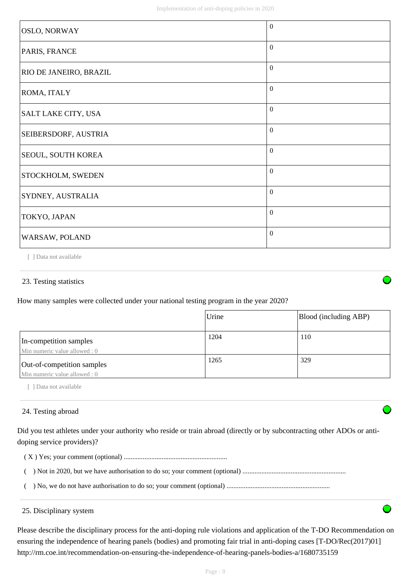| <b>OSLO, NORWAY</b>    | $\overline{0}$   |
|------------------------|------------------|
| PARIS, FRANCE          | $\overline{0}$   |
| RIO DE JANEIRO, BRAZIL | $\theta$         |
| ROMA, ITALY            | $\overline{0}$   |
| SALT LAKE CITY, USA    | $\overline{0}$   |
| SEIBERSDORF, AUSTRIA   | $\overline{0}$   |
| SEOUL, SOUTH KOREA     | $\boldsymbol{0}$ |
| STOCKHOLM, SWEDEN      | $\overline{0}$   |
| SYDNEY, AUSTRALIA      | $\overline{0}$   |
| TOKYO, JAPAN           | $\overline{0}$   |
| WARSAW, POLAND         | $\theta$         |

[ ] Data not available

#### 23. Testing statistics

How many samples were collected under your national testing program in the year 2020?

|                                                             | Urine | Blood (including ABP) |
|-------------------------------------------------------------|-------|-----------------------|
| In-competition samples<br>Min numeric value allowed : 0     | 1204  | 110                   |
| Out-of-competition samples<br>Min numeric value allowed : 0 | 1265  | 329                   |

[ ] Data not available

#### 24. Testing abroad

Did you test athletes under your authority who reside or train abroad (directly or by subcontracting other ADOs or antidoping service providers)?

( X ) Yes; your comment (optional) ............................................................

- ( ) Not in 2020, but we have authorisation to do so; your comment (optional) ............................................................
- ( ) No, we do not have authorisation to do so; your comment (optional) ............................................................

#### 25. Disciplinary system

Please describe the disciplinary process for the anti-doping rule violations and application of the T-DO Recommendation on ensuring the independence of hearing panels (bodies) and promoting fair trial in anti-doping cases [T-DO/Rec(2017)01] http://rm.coe.int/recommendation-on-ensuring-the-independence-of-hearing-panels-bodies-a/1680735159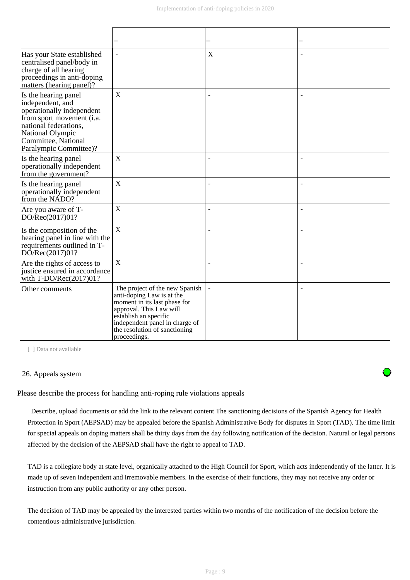| Has your State established<br>centralised panel/body in<br>charge of all hearing<br>proceedings in anti-doping<br>matters (hearing panel)?                                                       | $\overline{\phantom{a}}$                                                                                                                                                                                                           | $\mathbf X$              |                          |
|--------------------------------------------------------------------------------------------------------------------------------------------------------------------------------------------------|------------------------------------------------------------------------------------------------------------------------------------------------------------------------------------------------------------------------------------|--------------------------|--------------------------|
| Is the hearing panel<br>independent, and<br>operationally independent<br>from sport movement (i.a.<br>national federations,<br>National Olympic<br>Committee, National<br>Paralympic Committee)? | X                                                                                                                                                                                                                                  | ÷                        | $\overline{\phantom{a}}$ |
| Is the hearing panel<br>operationally independent<br>from the government?                                                                                                                        | X                                                                                                                                                                                                                                  | ÷                        |                          |
| Is the hearing panel<br>operationally independent<br>from the NADO?                                                                                                                              | $\mathbf X$                                                                                                                                                                                                                        | ÷                        |                          |
| Are you aware of T-<br>DO/Rec(2017)01?                                                                                                                                                           | $\mathbf X$                                                                                                                                                                                                                        | $\overline{\phantom{a}}$ | $\overline{\phantom{a}}$ |
| Is the composition of the<br>hearing panel in line with the<br>requirements outlined in T-<br>DO/Rec(2017)01?                                                                                    | $\mathbf X$                                                                                                                                                                                                                        | -                        |                          |
| Are the rights of access to<br>justice ensured in accordance<br>with T-DO/Rec(2017)01?                                                                                                           | $\mathbf X$                                                                                                                                                                                                                        | $\overline{a}$           |                          |
| Other comments                                                                                                                                                                                   | The project of the new Spanish<br>anti-doping Law is at the<br>moment in its last phase for<br>approval. This Law will<br>establish an specific<br>independent panel in charge of<br>the resolution of sanctioning<br>proceedings. | $\overline{\phantom{a}}$ | $\overline{\phantom{a}}$ |

[ ] Data not available

#### 26. Appeals system

Please describe the process for handling anti-roping rule violations appeals

 Describe, upload documents or add the link to the relevant content The sanctioning decisions of the Spanish Agency for Health Protection in Sport (AEPSAD) may be appealed before the Spanish Administrative Body for disputes in Sport (TAD). The time limit for special appeals on doping matters shall be thirty days from the day following notification of the decision. Natural or legal persons affected by the decision of the AEPSAD shall have the right to appeal to TAD.

TAD is a collegiate body at state level, organically attached to the High Council for Sport, which acts independently of the latter. It is made up of seven independent and irremovable members. In the exercise of their functions, they may not receive any order or instruction from any public authority or any other person.

The decision of TAD may be appealed by the interested parties within two months of the notification of the decision before the contentious-administrative jurisdiction.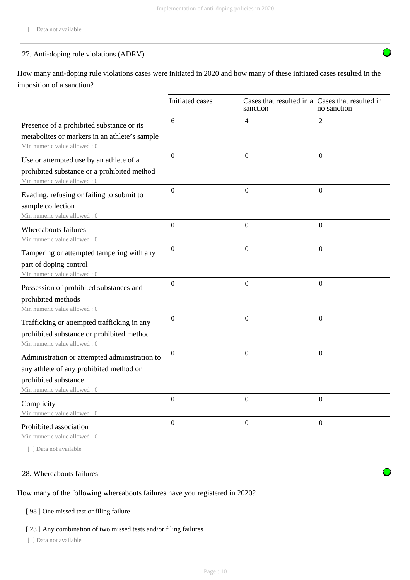## 27. Anti-doping rule violations (ADRV)

How many anti-doping rule violations cases were initiated in 2020 and how many of these initiated cases resulted in the imposition of a sanction?

|                                                                               | Initiated cases  | Cases that resulted in a Cases that resulted in<br>sanction | no sanction    |
|-------------------------------------------------------------------------------|------------------|-------------------------------------------------------------|----------------|
| Presence of a prohibited substance or its                                     | 6                | $\overline{4}$                                              | $\overline{2}$ |
| metabolites or markers in an athlete's sample<br>Min numeric value allowed: 0 |                  |                                                             |                |
| Use or attempted use by an athlete of a                                       | $\overline{0}$   | $\Omega$                                                    | $\Omega$       |
| prohibited substance or a prohibited method<br>Min numeric value allowed: 0   |                  |                                                             |                |
| Evading, refusing or failing to submit to                                     | $\overline{0}$   | $\overline{0}$                                              | $\Omega$       |
| sample collection<br>Min numeric value allowed: 0                             |                  |                                                             |                |
| Whereabouts failures<br>Min numeric value allowed: 0                          | $\theta$         | $\Omega$                                                    | $\theta$       |
| Tampering or attempted tampering with any                                     | $\overline{0}$   | $\mathbf{0}$                                                | $\Omega$       |
| part of doping control<br>Min numeric value allowed: 0                        |                  |                                                             |                |
| Possession of prohibited substances and                                       | $\theta$         | $\overline{0}$                                              | $\Omega$       |
| prohibited methods<br>Min numeric value allowed: 0                            |                  |                                                             |                |
| Trafficking or attempted trafficking in any                                   | $\boldsymbol{0}$ | $\Omega$                                                    | $\Omega$       |
| prohibited substance or prohibited method<br>Min numeric value allowed: 0     |                  |                                                             |                |
| Administration or attempted administration to                                 | $\Omega$         | $\Omega$                                                    | $\Omega$       |
| any athlete of any prohibited method or                                       |                  |                                                             |                |
| prohibited substance                                                          |                  |                                                             |                |
| Min numeric value allowed: 0                                                  | $\overline{0}$   | $\Omega$                                                    | $\Omega$       |
| Complicity                                                                    |                  |                                                             |                |
| Min numeric value allowed: 0                                                  | $\theta$         | $\Omega$                                                    | $\theta$       |
| Prohibited association<br>Min numeric value allowed: 0                        |                  |                                                             |                |

[ ] Data not available

#### 28. Whereabouts failures

#### How many of the following whereabouts failures have you registered in 2020?

## [ 98 ] One missed test or filing failure

## [ 23 ] Any combination of two missed tests and/or filing failures

[ ] Data not available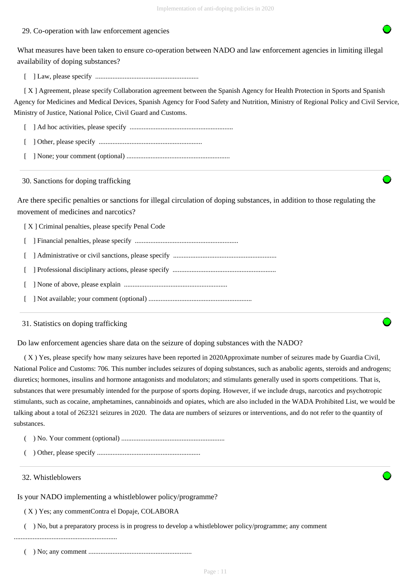#### 29. Co-operation with law enforcement agencies

What measures have been taken to ensure co-operation between NADO and law enforcement agencies in limiting illegal availability of doping substances?

[ ] Law, please specify ............................................................

 [ X ] Agreement, please specify Collaboration agreement between the Spanish Agency for Health Protection in Sports and Spanish Agency for Medicines and Medical Devices, Spanish Agency for Food Safety and Nutrition, Ministry of Regional Policy and Civil Service, Ministry of Justice, National Police, Civil Guard and Customs.

[ ] Ad hoc activities, please specify ............................................................

- [ ] Other, please specify ............................................................
- [ ] None; your comment (optional) ............................................................

30. Sanctions for doping trafficking

Are there specific penalties or sanctions for illegal circulation of doping substances, in addition to those regulating the movement of medicines and narcotics?

[ X ] Criminal penalties, please specify Penal Code

- [ ] Financial penalties, please specify ............................................................
- [ ] Administrative or civil sanctions, please specify ............................................................
- [ ] Professional disciplinary actions, please specify ............................................................
- [ ] None of above, please explain ............................................................
- [ ] Not available; your comment (optional) ............................................................

31. Statistics on doping trafficking

Do law enforcement agencies share data on the seizure of doping substances with the NADO?

 ( X ) Yes, please specify how many seizures have been reported in 2020Approximate number of seizures made by Guardia Civil, National Police and Customs: 706. This number includes seizures of doping substances, such as anabolic agents, steroids and androgens; diuretics; hormones, insulins and hormone antagonists and modulators; and stimulants generally used in sports competitions. That is, substances that were presumably intended for the purpose of sports doping. However, if we include drugs, narcotics and psychotropic stimulants, such as cocaine, amphetamines, cannabinoids and opiates, which are also included in the WADA Prohibited List, we would be talking about a total of 262321 seizures in 2020. The data are numbers of seizures or interventions, and do not refer to the quantity of substances.

- ( ) No. Your comment (optional) ............................................................
- ( ) Other, please specify ............................................................

#### 32. Whistleblowers

Is your NADO implementing a whistleblower policy/programme?

( X ) Yes; any commentContra el Dopaje, COLABORA

( ) No, but a preparatory process is in progress to develop a whistleblower policy/programme; any comment

............................................................

( ) No; any comment ............................................................

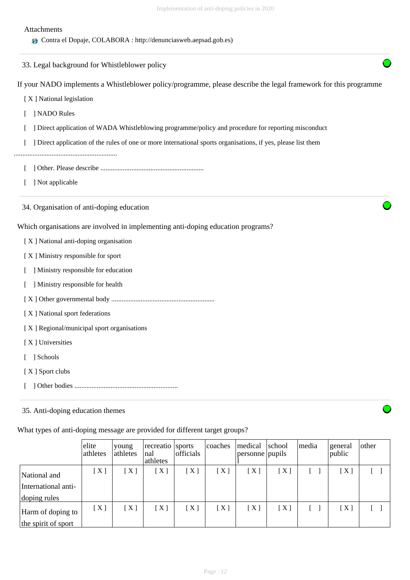| Attachments<br>Contra el Dopaje, COLABORA : http://denunciasweb.aepsad.gob.es)                                   |
|------------------------------------------------------------------------------------------------------------------|
| 33. Legal background for Whistleblower policy                                                                    |
| If your NADO implements a Whistleblower policy/programme, please describe the legal framework for this programme |
| [X] National legislation                                                                                         |
| ] NADO Rules                                                                                                     |
| ] Direct application of WADA Whistleblowing programme/policy and procedure for reporting misconduct              |
| ] Direct application of the rules of one or more international sports organisations, if yes, please list them    |
|                                                                                                                  |
| ] Not applicable                                                                                                 |
| 34. Organisation of anti-doping education                                                                        |
| Which organisations are involved in implementing anti-doping education programs?                                 |
| [X] National anti-doping organisation                                                                            |
| [X] Ministry responsible for sport                                                                               |
| ] Ministry responsible for education                                                                             |
| ] Ministry responsible for health                                                                                |
|                                                                                                                  |
| [X] National sport federations                                                                                   |
| [X] Regional/municipal sport organisations                                                                       |
| [X] Universities                                                                                                 |
| [ ] Schools                                                                                                      |
| [X] Sport clubs                                                                                                  |
|                                                                                                                  |
| 35. Anti-doping education themes                                                                                 |

What types of anti-doping message are provided for different target groups?

|                                                     | elite<br>athletes | voung<br>athletes | recreatio sports<br>nal<br>athletes | officials | coaches | medical<br>personne pupils | school | media | general<br>public | other |
|-----------------------------------------------------|-------------------|-------------------|-------------------------------------|-----------|---------|----------------------------|--------|-------|-------------------|-------|
| National and<br>International anti-<br>doping rules | [X]               | $X$ ]             | $\lceil$ X $\rceil$                 | [X]       | [X]     | $\lceil$ X ]               | X      |       | $\lceil$ X ]      |       |
| Harm of doping to<br>the spirit of sport            | [X]               | [X]               | [X]                                 | [X]       | [X]     | [X]                        | [X]    |       | [X]               |       |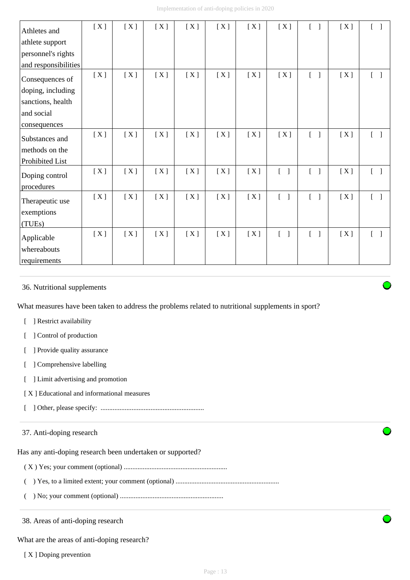| Athletes and         | [X] | [X] | [X] | [X] | [X] | [X] | [X]                               | $\begin{bmatrix} 1 \end{bmatrix}$ | [X] | $\begin{bmatrix} 1 \end{bmatrix}$ |
|----------------------|-----|-----|-----|-----|-----|-----|-----------------------------------|-----------------------------------|-----|-----------------------------------|
| athlete support      |     |     |     |     |     |     |                                   |                                   |     |                                   |
| personnel's rights   |     |     |     |     |     |     |                                   |                                   |     |                                   |
| and responsibilities |     |     |     |     |     |     |                                   |                                   |     |                                   |
| Consequences of      | [X] | [X] | [X] | [X] | [X] | [X] | [X]                               |                                   | [X] | $\begin{bmatrix} 1 \end{bmatrix}$ |
| doping, including    |     |     |     |     |     |     |                                   |                                   |     |                                   |
| sanctions, health    |     |     |     |     |     |     |                                   |                                   |     |                                   |
| and social           |     |     |     |     |     |     |                                   |                                   |     |                                   |
| consequences         |     |     |     |     |     |     |                                   |                                   |     |                                   |
| Substances and       | [X] | [X] | [X] | [X] | [X] | [X] | [X]                               | $\begin{bmatrix} 1 \end{bmatrix}$ | [X] | $\begin{bmatrix} 1 \end{bmatrix}$ |
| methods on the       |     |     |     |     |     |     |                                   |                                   |     |                                   |
| Prohibited List      |     |     |     |     |     |     |                                   |                                   |     |                                   |
| Doping control       | [X] | [X] | [X] | [X] | [X] | [X] | $[\ ]$                            | $\Gamma$<br>$\Box$                | [X] | $\begin{bmatrix} 1 \end{bmatrix}$ |
| procedures           |     |     |     |     |     |     |                                   |                                   |     |                                   |
| Therapeutic use      | [X] | [X] | [X] | [X] | [X] | [X] | $\begin{bmatrix} 1 \end{bmatrix}$ | $\begin{bmatrix} 1 \end{bmatrix}$ | [X] | $\begin{bmatrix} 1 \end{bmatrix}$ |
| exemptions           |     |     |     |     |     |     |                                   |                                   |     |                                   |
| (TUEs)               |     |     |     |     |     |     |                                   |                                   |     |                                   |
| Applicable           | [X] | [X] | [X] | [X] | [X] | [X] | $\begin{bmatrix} 1 \end{bmatrix}$ | $\begin{bmatrix} 1 \end{bmatrix}$ | [X] | $[\quad]$                         |
| whereabouts          |     |     |     |     |     |     |                                   |                                   |     |                                   |
| requirements         |     |     |     |     |     |     |                                   |                                   |     |                                   |

## 36. Nutritional supplements

What measures have been taken to address the problems related to nutritional supplements in sport?

- [ ] Restrict availability
- [ ] Control of production
- [ ] Provide quality assurance
- [ ] Comprehensive labelling
- [ ] Limit advertising and promotion
- [ X ] Educational and informational measures
- [ ] Other, please specify: ............................................................

## 37. Anti-doping research

Has any anti-doping research been undertaken or supported?

- ( X ) Yes; your comment (optional) ............................................................
- ( ) Yes, to a limited extent; your comment (optional) ............................................................
- ( ) No; your comment (optional) ............................................................

38. Areas of anti-doping research

What are the areas of anti-doping research?

[X ] Doping prevention